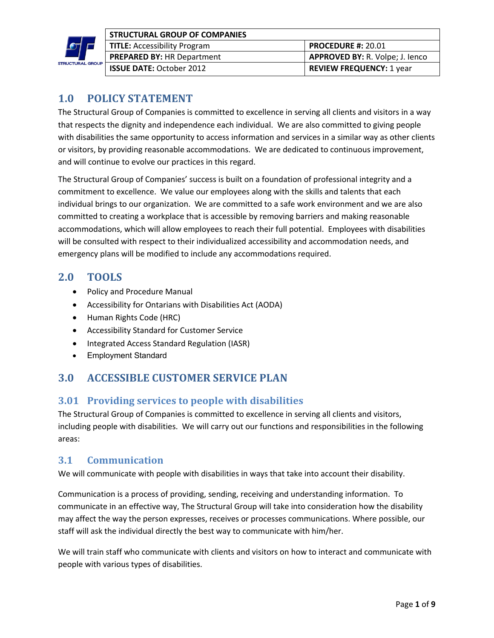

| <b>STRUCTURAL GROUP OF COMPANIES</b> |                                        |
|--------------------------------------|----------------------------------------|
| <b>TITLE:</b> Accessibility Program  | <b>PROCEDURE #: 20.01</b>              |
| <b>PREPARED BY: HR Department</b>    | <b>APPROVED BY: R. Volpe; J. lenco</b> |
| <b>ISSUE DATE: October 2012</b>      | <b>REVIEW FREQUENCY: 1 year</b>        |

# **1.0 POLICY STATEMENT**

The Structural Group of Companies is committed to excellence in serving all clients and visitors in a way that respects the dignity and independence each individual. We are also committed to giving people with disabilities the same opportunity to access information and services in a similar way as other clients or visitors, by providing reasonable accommodations. We are dedicated to continuous improvement, and will continue to evolve our practices in this regard.

The Structural Group of Companies' success is built on a foundation of professional integrity and a commitment to excellence. We value our employees along with the skills and talents that each individual brings to our organization. We are committed to a safe work environment and we are also committed to creating a workplace that is accessible by removing barriers and making reasonable accommodations, which will allow employees to reach their full potential. Employees with disabilities will be consulted with respect to their individualized accessibility and accommodation needs, and emergency plans will be modified to include any accommodations required.

## **2.0 TOOLS**

- Policy and Procedure Manual
- Accessibility for Ontarians with Disabilities Act (AODA)
- Human Rights Code (HRC)
- Accessibility Standard for Customer Service
- Integrated Access Standard Regulation (IASR)
- Employment Standard

# **3.0 ACCESSIBLE CUSTOMER SERVICE PLAN**

## **3.01 Providing services to people with disabilities**

The Structural Group of Companies is committed to excellence in serving all clients and visitors, including people with disabilities. We will carry out our functions and responsibilities in the following areas:

### **3.1 Communication**

We will communicate with people with disabilities in ways that take into account their disability.

Communication is a process of providing, sending, receiving and understanding information. To communicate in an effective way, The Structural Group will take into consideration how the disability may affect the way the person expresses, receives or processes communications. Where possible, our staff will ask the individual directly the best way to communicate with him/her.

We will train staff who communicate with clients and visitors on how to interact and communicate with people with various types of disabilities.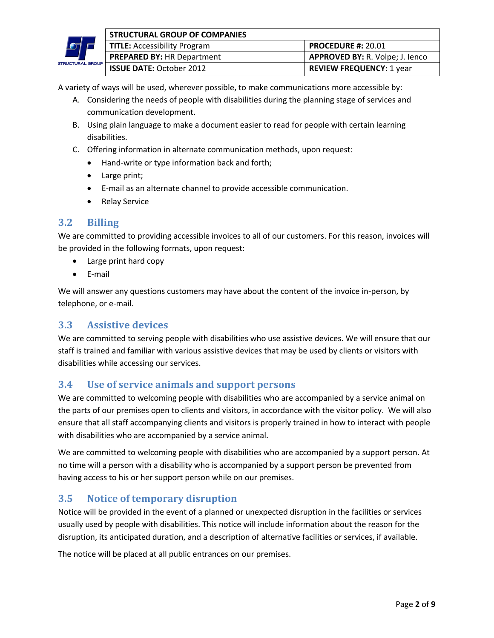

|     | <b>STRUCTURAL GROUP OF COMPANIES</b> |                                        |
|-----|--------------------------------------|----------------------------------------|
|     | <b>TITLE:</b> Accessibility Program  | <b>PROCEDURE #: 20.01</b>              |
|     | <b>PREPARED BY: HR Department</b>    | <b>APPROVED BY: R. Volpe; J. lenco</b> |
| DUP | <b>ISSUE DATE: October 2012</b>      | <b>REVIEW FREQUENCY: 1 year</b>        |

A variety of ways will be used, wherever possible, to make communications more accessible by:

- A. Considering the needs of people with disabilities during the planning stage of services and communication development.
- B. Using plain language to make a document easier to read for people with certain learning disabilities.
- C. Offering information in alternate communication methods, upon request:
	- Hand-write or type information back and forth;
	- Large print;
	- E-mail as an alternate channel to provide accessible communication.
	- Relay Service

### **3.2 Billing**

We are committed to providing accessible invoices to all of our customers. For this reason, invoices will be provided in the following formats, upon request:

- Large print hard copy
- E-mail

We will answer any questions customers may have about the content of the invoice in-person, by telephone, or e-mail.

### **3.3 Assistive devices**

We are committed to serving people with disabilities who use assistive devices. We will ensure that our staff is trained and familiar with various assistive devices that may be used by clients or visitors with disabilities while accessing our services.

### **3.4 Use of service animals and support persons**

We are committed to welcoming people with disabilities who are accompanied by a service animal on the parts of our premises open to clients and visitors, in accordance with the visitor policy. We will also ensure that all staff accompanying clients and visitors is properly trained in how to interact with people with disabilities who are accompanied by a service animal.

We are committed to welcoming people with disabilities who are accompanied by a support person. At no time will a person with a disability who is accompanied by a support person be prevented from having access to his or her support person while on our premises.

### **3.5** Notice of temporary disruption

Notice will be provided in the event of a planned or unexpected disruption in the facilities or services usually used by people with disabilities. This notice will include information about the reason for the disruption, its anticipated duration, and a description of alternative facilities or services, if available.

The notice will be placed at all public entrances on our premises.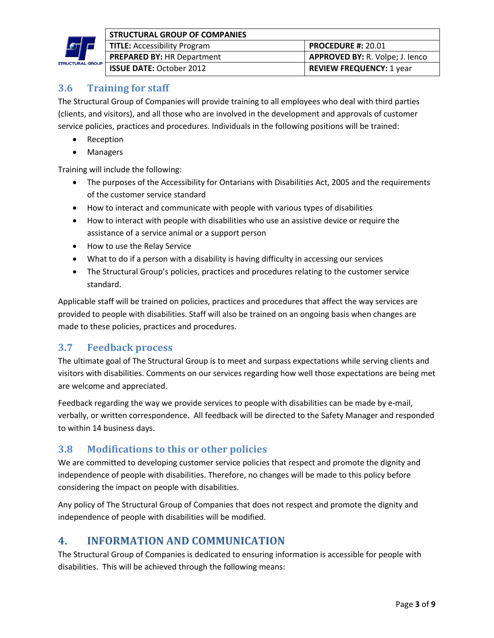

|     | <b>STRUCTURAL GROUP OF COMPANIES</b> |                                        |
|-----|--------------------------------------|----------------------------------------|
|     | <b>TITLE:</b> Accessibility Program  | <b>PROCEDURE #: 20.01</b>              |
|     | <b>PREPARED BY: HR Department</b>    | <b>APPROVED BY: R. Volpe; J. Jenco</b> |
| )UP | <b>ISSUE DATE: October 2012</b>      | <b>REVIEW FREQUENCY: 1 year</b>        |

# **3.6 Training for staff**

The Structural Group of Companies will provide training to all employees who deal with third parties (clients, and visitors), and all those who are involved in the development and approvals of customer service policies, practices and procedures. Individuals in the following positions will be trained:

- Reception
- Managers

Training will include the following:

- The purposes of the Accessibility for Ontarians with Disabilities Act, 2005 and the requirements of the customer service standard
- How to interact and communicate with people with various types of disabilities
- How to interact with people with disabilities who use an assistive device or require the assistance of a service animal or a support person
- How to use the Relay Service
- What to do if a person with a disability is having difficulty in accessing our services
- The Structural Group's policies, practices and procedures relating to the customer service standard.

Applicable staff will be trained on policies, practices and procedures that affect the way services are provided to people with disabilities. Staff will also be trained on an ongoing basis when changes are made to these policies, practices and procedures.

### **3.7 Feedback process**

The ultimate goal of The Structural Group is to meet and surpass expectations while serving clients and visitors with disabilities. Comments on our services regarding how well those expectations are being met are welcome and appreciated.

Feedback regarding the way we provide services to people with disabilities can be made by e-mail, verbally, or written correspondence. All feedback will be directed to the Safety Manager and responded to within 14 business days.

## **3.8 Modifications to this or other policies**

We are committed to developing customer service policies that respect and promote the dignity and independence of people with disabilities. Therefore, no changes will be made to this policy before considering the impact on people with disabilities.

Any policy of The Structural Group of Companies that does not respect and promote the dignity and independence of people with disabilities will be modified.

## **4. INFORMATION AND COMMUNICATION**

The Structural Group of Companies is dedicated to ensuring information is accessible for people with disabilities. This will be achieved through the following means: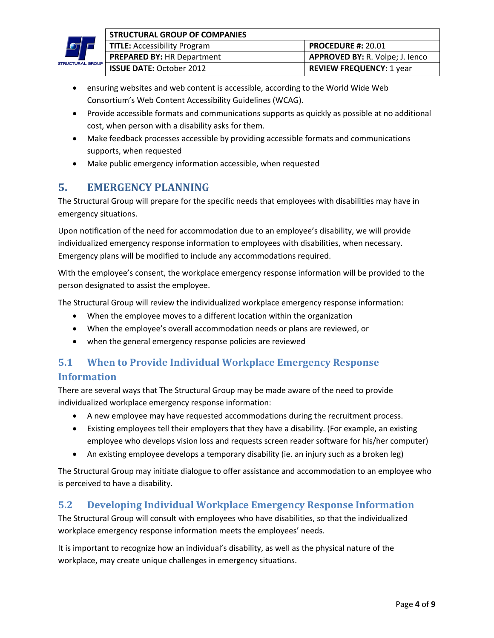

|     | <b>STRUCTURAL GROUP OF COMPANIES</b> |                                        |
|-----|--------------------------------------|----------------------------------------|
|     | <b>TITLE:</b> Accessibility Program  | <b>PROCEDURE #: 20.01</b>              |
|     | <b>PREPARED BY: HR Department</b>    | <b>APPROVED BY: R. Volpe; J. lenco</b> |
| OUP | <b>ISSUE DATE: October 2012</b>      | <b>REVIEW FREQUENCY: 1 year</b>        |

- ensuring websites and web content is accessible, according to the World Wide Web Consortium's Web Content Accessibility Guidelines (WCAG).
- Provide accessible formats and communications supports as quickly as possible at no additional cost, when person with a disability asks for them.
- Make feedback processes accessible by providing accessible formats and communications supports, when requested
- Make public emergency information accessible, when requested

# **5. EMERGENCY PLANNING**

The Structural Group will prepare for the specific needs that employees with disabilities may have in emergency situations.

Upon notification of the need for accommodation due to an employee's disability, we will provide individualized emergency response information to employees with disabilities, when necessary. Emergency plans will be modified to include any accommodations required.

With the employee's consent, the workplace emergency response information will be provided to the person designated to assist the employee.

The Structural Group will review the individualized workplace emergency response information:

- When the employee moves to a different location within the organization
- When the employee's overall accommodation needs or plans are reviewed, or
- when the general emergency response policies are reviewed

# **5.1** When to Provide Individual Workplace Emergency Response **Information**

There are several ways that The Structural Group may be made aware of the need to provide individualized workplace emergency response information:

- A new employee may have requested accommodations during the recruitment process.
- Existing employees tell their employers that they have a disability. (For example, an existing employee who develops vision loss and requests screen reader software for his/her computer)
- An existing employee develops a temporary disability (ie. an injury such as a broken leg)

The Structural Group may initiate dialogue to offer assistance and accommodation to an employee who is perceived to have a disability.

## **5.2 Developing Individual Workplace Emergency Response Information**

The Structural Group will consult with employees who have disabilities, so that the individualized workplace emergency response information meets the employees' needs.

It is important to recognize how an individual's disability, as well as the physical nature of the workplace, may create unique challenges in emergency situations.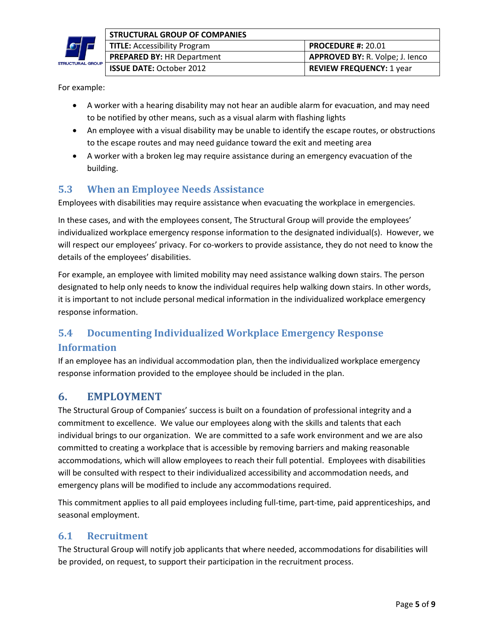

|    | STRUCTURAL GROUP OF COMPANIES       |                                        |
|----|-------------------------------------|----------------------------------------|
|    | <b>TITLE: Accessibility Program</b> | <b>PROCEDURE #: 20.01</b>              |
|    | <b>PREPARED BY: HR Department</b>   | <b>APPROVED BY: R. Volpe; J. Jenco</b> |
| UP | <b>ISSUE DATE: October 2012</b>     | <b>REVIEW FREQUENCY: 1 year</b>        |

For example:

- A worker with a hearing disability may not hear an audible alarm for evacuation, and may need to be notified by other means, such as a visual alarm with flashing lights
- An employee with a visual disability may be unable to identify the escape routes, or obstructions to the escape routes and may need guidance toward the exit and meeting area
- A worker with a broken leg may require assistance during an emergency evacuation of the building.

## **5.3 When an Employee Needs Assistance**

Employees with disabilities may require assistance when evacuating the workplace in emergencies.

In these cases, and with the employees consent, The Structural Group will provide the employees' individualized workplace emergency response information to the designated individual(s). However, we will respect our employees' privacy. For co-workers to provide assistance, they do not need to know the details of the employees' disabilities.

For example, an employee with limited mobility may need assistance walking down stairs. The person designated to help only needs to know the individual requires help walking down stairs. In other words, it is important to not include personal medical information in the individualized workplace emergency response information.

# **5.4 Documenting Individualized Workplace Emergency Response**

### **Information**

If an employee has an individual accommodation plan, then the individualized workplace emergency response information provided to the employee should be included in the plan.

## **6. EMPLOYMENT**

The Structural Group of Companies' success is built on a foundation of professional integrity and a commitment to excellence. We value our employees along with the skills and talents that each individual brings to our organization. We are committed to a safe work environment and we are also committed to creating a workplace that is accessible by removing barriers and making reasonable accommodations, which will allow employees to reach their full potential. Employees with disabilities will be consulted with respect to their individualized accessibility and accommodation needs, and emergency plans will be modified to include any accommodations required.

This commitment applies to all paid employees including full-time, part-time, paid apprenticeships, and seasonal employment.

### **6.1 Recruitment**

The Structural Group will notify job applicants that where needed, accommodations for disabilities will be provided, on request, to support their participation in the recruitment process.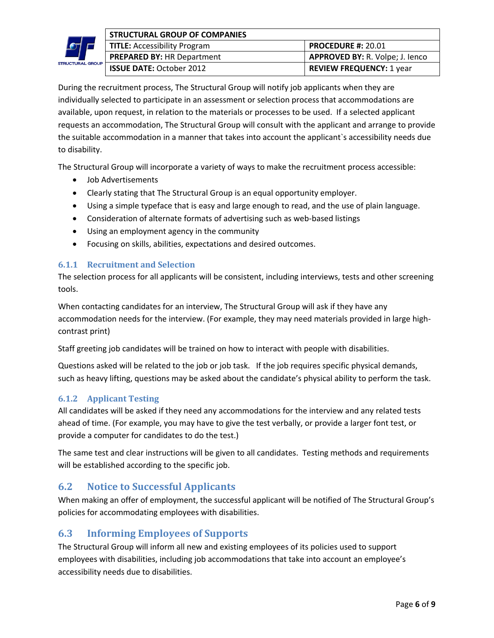

| STRUCTURAL GROUP OF COMPANIES |                                     |                                        |
|-------------------------------|-------------------------------------|----------------------------------------|
|                               | <b>TITLE: Accessibility Program</b> | <b>PROCEDURE #: 20.01</b>              |
|                               | <b>PREPARED BY: HR Department</b>   | <b>APPROVED BY: R. Volpe; J. lenco</b> |
| UP                            | <b>ISSUE DATE: October 2012</b>     | <b>REVIEW FREQUENCY: 1 year</b>        |

During the recruitment process, The Structural Group will notify job applicants when they are individually selected to participate in an assessment or selection process that accommodations are available, upon request, in relation to the materials or processes to be used. If a selected applicant requests an accommodation, The Structural Group will consult with the applicant and arrange to provide the suitable accommodation in a manner that takes into account the applicant`s accessibility needs due to disability.

The Structural Group will incorporate a variety of ways to make the recruitment process accessible:

- Job Advertisements
- Clearly stating that The Structural Group is an equal opportunity employer.
- Using a simple typeface that is easy and large enough to read, and the use of plain language.
- Consideration of alternate formats of advertising such as web-based listings
- Using an employment agency in the community
- Focusing on skills, abilities, expectations and desired outcomes.

#### **6.1.1 Recruitment and Selection**

The selection process for all applicants will be consistent, including interviews, tests and other screening tools.

When contacting candidates for an interview, The Structural Group will ask if they have any accommodation needs for the interview. (For example, they may need materials provided in large highcontrast print)

Staff greeting job candidates will be trained on how to interact with people with disabilities.

Questions asked will be related to the job or job task. If the job requires specific physical demands, such as heavy lifting, questions may be asked about the candidate's physical ability to perform the task.

### **6.1.2 Applicant Testing**

All candidates will be asked if they need any accommodations for the interview and any related tests ahead of time. (For example, you may have to give the test verbally, or provide a larger font test, or provide a computer for candidates to do the test.)

The same test and clear instructions will be given to all candidates. Testing methods and requirements will be established according to the specific job.

### **6.2** Notice to Successful Applicants

When making an offer of employment, the successful applicant will be notified of The Structural Group's policies for accommodating employees with disabilities.

### **6.3 Informing Employees of Supports**

The Structural Group will inform all new and existing employees of its policies used to support employees with disabilities, including job accommodations that take into account an employee's accessibility needs due to disabilities.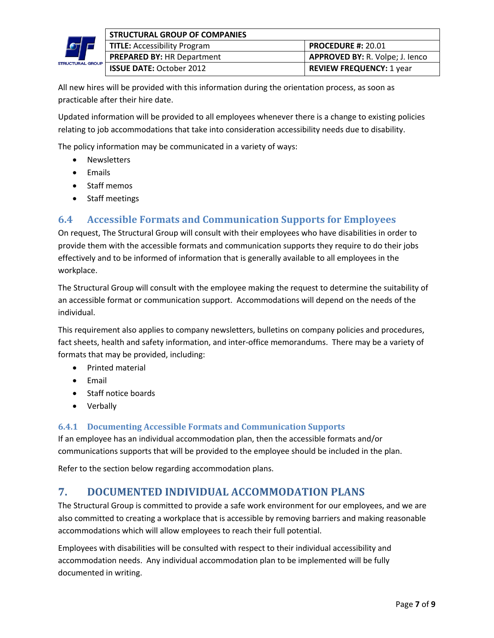

|     | <b>STRUCTURAL GROUP OF COMPANIES</b> |                                        |
|-----|--------------------------------------|----------------------------------------|
|     | <b>TITLE: Accessibility Program</b>  | <b>PROCEDURE #: 20.01</b>              |
|     | <b>PREPARED BY: HR Department</b>    | <b>APPROVED BY: R. Volpe; J. lenco</b> |
| OUP | <b>ISSUE DATE: October 2012</b>      | <b>REVIEW FREQUENCY: 1 year</b>        |

All new hires will be provided with this information during the orientation process, as soon as practicable after their hire date.

Updated information will be provided to all employees whenever there is a change to existing policies relating to job accommodations that take into consideration accessibility needs due to disability.

The policy information may be communicated in a variety of ways:

- Newsletters
- Emails
- Staff memos
- Staff meetings

## **6.4 • Accessible Formats and Communication Supports for Employees**

On request, The Structural Group will consult with their employees who have disabilities in order to provide them with the accessible formats and communication supports they require to do their jobs effectively and to be informed of information that is generally available to all employees in the workplace.

The Structural Group will consult with the employee making the request to determine the suitability of an accessible format or communication support. Accommodations will depend on the needs of the individual.

This requirement also applies to company newsletters, bulletins on company policies and procedures, fact sheets, health and safety information, and inter-office memorandums. There may be a variety of formats that may be provided, including:

- Printed material
- Email
- Staff notice boards
- Verbally

### **6.4.1 Documenting Accessible Formats and Communication Supports**

If an employee has an individual accommodation plan, then the accessible formats and/or communications supports that will be provided to the employee should be included in the plan.

Refer to the section below regarding accommodation plans.

# **7. DOCUMENTED INDIVIDUAL ACCOMMODATION PLANS**

The Structural Group is committed to provide a safe work environment for our employees, and we are also committed to creating a workplace that is accessible by removing barriers and making reasonable accommodations which will allow employees to reach their full potential.

Employees with disabilities will be consulted with respect to their individual accessibility and accommodation needs. Any individual accommodation plan to be implemented will be fully documented in writing.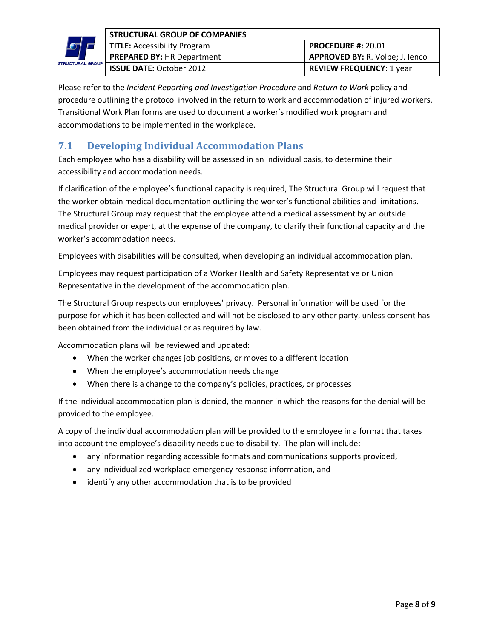

|     | STRUCTURAL GROUP OF COMPANIES       |                                        |
|-----|-------------------------------------|----------------------------------------|
|     | <b>TITLE: Accessibility Program</b> | <b>PROCEDURE #: 20.01</b>              |
|     | <b>PREPARED BY: HR Department</b>   | <b>APPROVED BY: R. Volpe; J. Jenco</b> |
| DUP | <b>ISSUE DATE: October 2012</b>     | <b>REVIEW FREQUENCY: 1 year</b>        |

Please refer to the *Incident Reporting and Investigation Procedure* and *Return to Work* policy and procedure outlining the protocol involved in the return to work and accommodation of injured workers. Transitional Work Plan forms are used to document a worker's modified work program and accommodations to be implemented in the workplace.

# **7.1 Developing Individual Accommodation Plans**

Each employee who has a disability will be assessed in an individual basis, to determine their accessibility and accommodation needs.

If clarification of the employee's functional capacity is required, The Structural Group will request that the worker obtain medical documentation outlining the worker's functional abilities and limitations. The Structural Group may request that the employee attend a medical assessment by an outside medical provider or expert, at the expense of the company, to clarify their functional capacity and the worker's accommodation needs.

Employees with disabilities will be consulted, when developing an individual accommodation plan.

Employees may request participation of a Worker Health and Safety Representative or Union Representative in the development of the accommodation plan.

The Structural Group respects our employees' privacy. Personal information will be used for the purpose for which it has been collected and will not be disclosed to any other party, unless consent has been obtained from the individual or as required by law.

Accommodation plans will be reviewed and updated:

- When the worker changes job positions, or moves to a different location
- When the employee's accommodation needs change
- When there is a change to the company's policies, practices, or processes

If the individual accommodation plan is denied, the manner in which the reasons for the denial will be provided to the employee.

A copy of the individual accommodation plan will be provided to the employee in a format that takes into account the employee's disability needs due to disability. The plan will include:

- any information regarding accessible formats and communications supports provided,
- any individualized workplace emergency response information, and
- identify any other accommodation that is to be provided